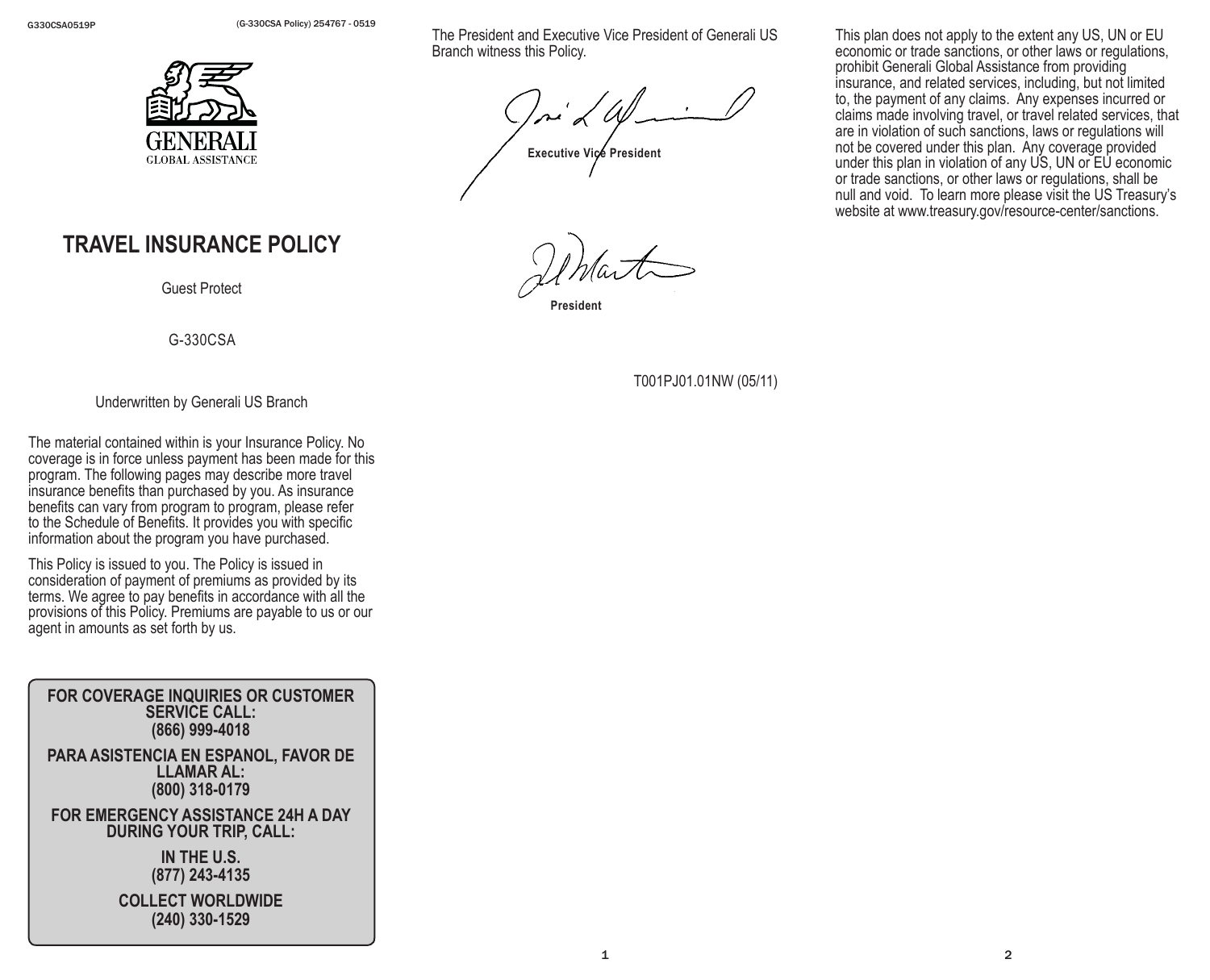G330CSA0519P (G-330CSA Policy) 254767 - 0519



# **TRAVEL INSURANCE POLICY**

Guest Protect

G-330CSA

Underwritten by Generali US Branch

The material contained within is your Insurance Policy. No coverage is in force unless payment has been made for this program. The following pages may describe more travel insurance benefits than purchased by you. As insurance benefits can vary from program to program, please refer to the Schedule of Benefits. It provides you with specific information about the program you have purchased.

This Policy is issued to you. The Policy is issued in consideration of payment of premiums as provided by its terms. We agree to pay benefits in accordance with all the provisions of this Policy. Premiums are payable to us or our agent in amounts as set forth by us.

**FOR COVERAGE INQUIRIES OR CUSTOMER SERVICE CALL: (866) 999-4018 PARA ASISTENCIA EN ESPANOL, FAVOR DE LLAMAR AL: (800) 318-0179**

**FOR EMERGENCY ASSISTANCE 24H A DAY DURING YOUR TRIP, CALL:**

> **IN THE U.S. (877) 243-4135**

**COLLECT WORLDWIDE (240) 330-1529**

The President and Executive Vice President of Generali US Branch witness this Policy.

**Executive Vice President**

**President**

This plan does not apply to the extent any US, UN or EU economic or trade sanctions, or other laws or regulations, prohibit Generali Global Assistance from providing insurance, and related services, including, but not limited to, the payment of any claims. Any expenses incurred or claims made involving travel, or travel related services, that are in violation of such sanctions, laws or regulations will not be covered under this plan. Any coverage provided under this plan in violation of any US, UN or EU economic or trade sanctions, or other laws or regulations, shall be null and void. To learn more please visit the US Treasury's website at www.treasury.gov/resource-center/sanctions.

T001PJ01.01NW (05/11)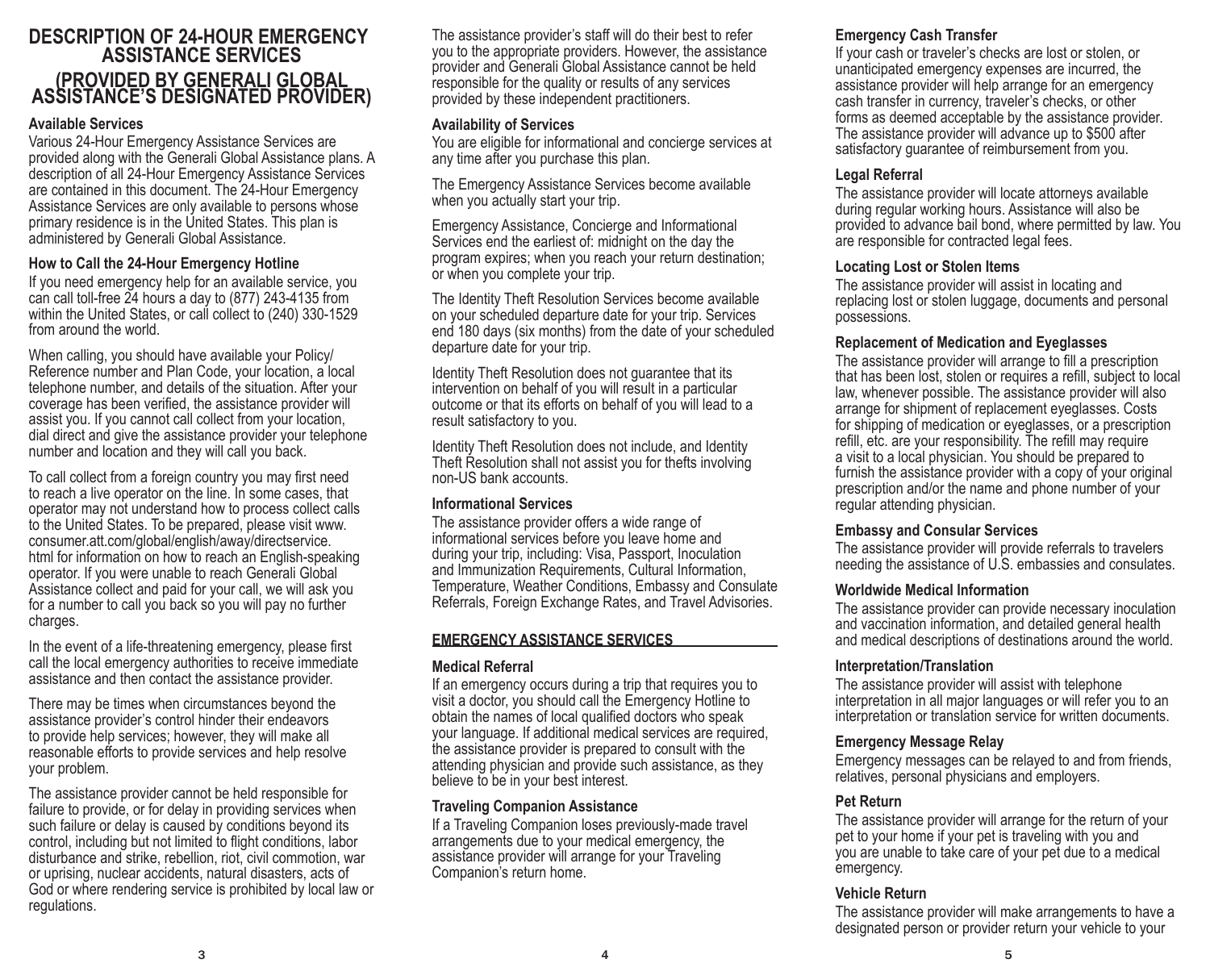# **DESCRIPTION OF 24-HOUR EMERGENCY ASSISTANCE SERVICES (PROVIDED BY GENERALI GLOBAL ASSISTANCE'S DESIGNATED PROVIDER)**

#### **Available Services**

Various 24-Hour Emergency Assistance Services are provided along with the Generali Global Assistance plans. A description of all 24-Hour Emergency Assistance Services are contained in this document. The 24-Hour Emergency Assistance Services are only available to persons whose primary residence is in the United States. This plan is administered by Generali Global Assistance.

#### **How to Call the 24-Hour Emergency Hotline**

If you need emergency help for an available service, you can call toll-free 24 hours a day to (877) 243-4135 from within the United States, or call collect to (240) 330-1529 from around the world.

When calling, you should have available your Policy/ Reference number and Plan Code, your location, a local telephone number, and details of the situation. After your coverage has been verified, the assistance provider will assist you. If you cannot call collect from your location, dial direct and give the assistance provider your telephone number and location and they will call you back.

To call collect from a foreign country you may first need to reach a live operator on the line. In some cases, that operator may not understand how to process collect calls to the United States. To be prepared, please visit www. consumer.att.com/global/english/away/directservice. html for information on how to reach an English-speaking operator. If you were unable to reach Generali Global Assistance collect and paid for your call, we will ask you for a number to call you back so you will pay no further charges.

In the event of a life-threatening emergency, please first call the local emergency authorities to receive immediate assistance and then contact the assistance provider.

There may be times when circumstances beyond the assistance provider's control hinder their endeavors to provide help services; however, they will make all reasonable efforts to provide services and help resolve your problem.

The assistance provider cannot be held responsible for failure to provide, or for delay in providing services when such failure or delay is caused by conditions beyond its control, including but not limited to flight conditions, labor disturbance and strike, rebellion, riot, civil commotion, war or uprising, nuclear accidents, natural disasters, acts of God or where rendering service is prohibited by local law or regulations.

The assistance provider's staff will do their best to refer you to the appropriate providers. However, the assistance provider and Generali Global Assistance cannot be held responsible for the quality or results of any services provided by these independent practitioners.

#### **Availability of Services**

You are eligible for informational and concierge services at any time after you purchase this plan.

The Emergency Assistance Services become available when you actually start your trip.

Emergency Assistance, Concierge and Informational Services end the earliest of: midnight on the day the program expires; when you reach your return destination; or when you complete your trip.

The Identity Theft Resolution Services become available on your scheduled departure date for your trip. Services end 180 days (six months) from the date of your scheduled departure date for your trip.

Identity Theft Resolution does not guarantee that its intervention on behalf of you will result in a particular outcome or that its efforts on behalf of you will lead to a result satisfactory to you.

Identity Theft Resolution does not include, and Identity Theft Resolution shall not assist you for thefts involving non-US bank accounts.

#### **Informational Services**

The assistance provider offers a wide range of informational services before you leave home and during your trip, including: Visa, Passport, Inoculation and Immunization Requirements, Cultural Information, Temperature, Weather Conditions, Embassy and Consulate Referrals, Foreign Exchange Rates, and Travel Advisories.

#### **EMERGENCY ASSISTANCE SERVICES**

#### **Medical Referral**

If an emergency occurs during a trip that requires you to visit a doctor, you should call the Emergency Hotline to obtain the names of local qualified doctors who speak your language. If additional medical services are required, the assistance provider is prepared to consult with the attending physician and provide such assistance, as they believe to be in your best interest.

#### **Traveling Companion Assistance**

If a Traveling Companion loses previously-made travel arrangements due to your medical emergency, the assistance provider will arrange for your Traveling Companion's return home.

## **Emergency Cash Transfer**

If your cash or traveler's checks are lost or stolen, or unanticipated emergency expenses are incurred, the assistance provider will help arrange for an emergency cash transfer in currency, traveler's checks, or other forms as deemed acceptable by the assistance provider. The assistance provider will advance up to \$500 after satisfactory guarantee of reimbursement from you.

#### **Legal Referral**

The assistance provider will locate attorneys available during regular working hours. Assistance will also be provided to advance bail bond, where permitted by law. You are responsible for contracted legal fees.

#### **Locating Lost or Stolen Items**

The assistance provider will assist in locating and replacing lost or stolen luggage, documents and personal possessions.

#### **Replacement of Medication and Eyeglasses**

The assistance provider will arrange to fill a prescription that has been lost, stolen or requires a refill, subject to local law, whenever possible. The assistance provider will also arrange for shipment of replacement eyeglasses. Costs for shipping of medication or eyeglasses, or a prescription refill, etc. are your responsibility. The refill may require a visit to a local physician. You should be prepared to furnish the assistance provider with a copy of your original prescription and/or the name and phone number of your regular attending physician.

#### **Embassy and Consular Services**

The assistance provider will provide referrals to travelers needing the assistance of U.S. embassies and consulates.

#### **Worldwide Medical Information**

The assistance provider can provide necessary inoculation and vaccination information, and detailed general health and medical descriptions of destinations around the world.

#### **Interpretation/Translation**

The assistance provider will assist with telephone interpretation in all major languages or will refer you to an interpretation or translation service for written documents.

#### **Emergency Message Relay**

Emergency messages can be relayed to and from friends, relatives, personal physicians and employers.

#### **Pet Return**

The assistance provider will arrange for the return of your pet to your home if your pet is traveling with you and you are unable to take care of your pet due to a medical emergency.

### **Vehicle Return**

The assistance provider will make arrangements to have a designated person or provider return your vehicle to your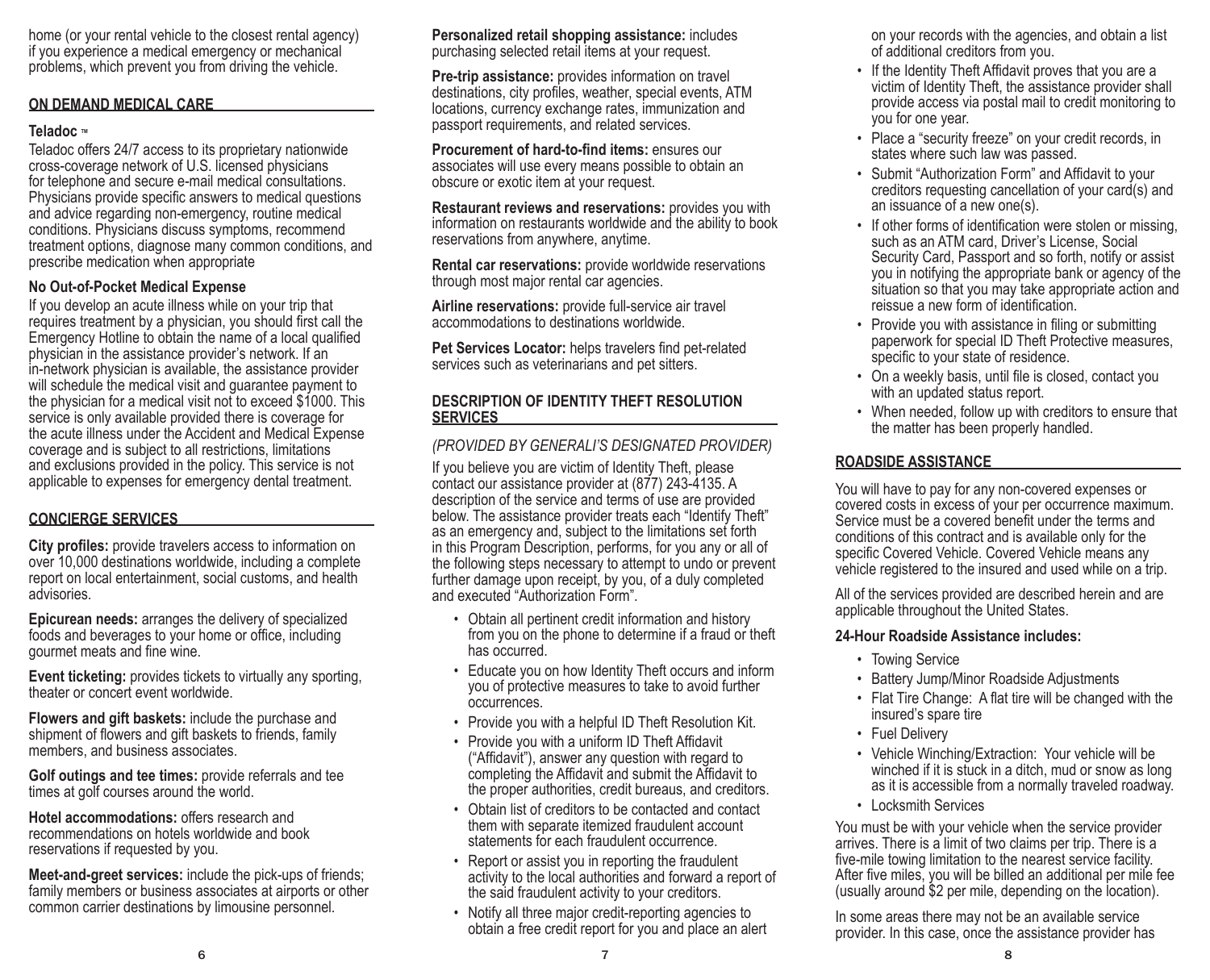home (or your rental vehicle to the closest rental agency) if you experience a medical emergency or mechanical problems, which prevent you from driving the vehicle.

#### **ON DEMAND MEDICAL CARE**

#### **Teladoc** ™

Teladoc offers 24/7 access to its proprietary nationwide cross-coverage network of U.S. licensed physicians for telephone and secure e-mail medical consultations. Physicians provide specific answers to medical questions and advice regarding non-emergency, routine medical conditions. Physicians discuss symptoms, recommend treatment options, diagnose many common conditions, and prescribe medication when appropriate

#### **No Out-of-Pocket Medical Expense**

If you develop an acute illness while on your trip that requires treatment by a physician, you should first call the Emergency Hotline to obtain the name of a local qualified physician in the assistance provider's network. If an in-network physician is available, the assistance provider will schedule the medical visit and guarantee payment to the physician for a medical visit not to exceed \$1000. This service is only available provided there is coverage for the acute illness under the Accident and Medical Expense coverage and is subject to all restrictions, limitations and exclusions provided in the policy. This service is not applicable to expenses for emergency dental treatment.

### **CONCIERGE SERVICES**

**City profiles:** provide travelers access to information on over 10,000 destinations worldwide, including a complete report on local entertainment, social customs, and health advisories.

**Epicurean needs:** arranges the delivery of specialized foods and beverages to your home or office, including gourmet meats and fine wine.

**Event ticketing:** provides tickets to virtually any sporting, theater or concert event worldwide.

**Flowers and gift baskets:** include the purchase and shipment of flowers and gift baskets to friends, family members, and business associates.

**Golf outings and tee times:** provide referrals and tee times at golf courses around the world.

**Hotel accommodations:** offers research and recommendations on hotels worldwide and book reservations if requested by you.

**Meet-and-greet services:** include the pick-ups of friends; family members or business associates at airports or other common carrier destinations by limousine personnel.

**Personalized retail shopping assistance:** includes purchasing selected retail items at your request.

**Pre-trip assistance:** provides information on travel destinations, city profiles, weather, special events, ATM locations, currency exchange rates, immunization and passport requirements, and related services.

**Procurement of hard-to-find items:** ensures our associates will use every means possible to obtain an obscure or exotic item at your request.

**Restaurant reviews and reservations:** provides you with information on restaurants worldwide and the ability to book reservations from anywhere, anytime.

**Rental car reservations:** provide worldwide reservations through most major rental car agencies.

**Airline reservations:** provide full-service air travel accommodations to destinations worldwide.

**Pet Services Locator:** helps travelers find pet-related services such as veterinarians and pet sitters.

### **DESCRIPTION OF IDENTITY THEFT RESOLUTION SERVICES**

## *(PROVIDED BY GENERALI'S DESIGNATED PROVIDER)*

If you believe you are victim of Identity Theft, please contact our assistance provider at (877) 243-4135. A description of the service and terms of use are provided below. The assistance provider treats each "Identify Theft" as an emergency and, subject to the limitations set forth in this Program Description, performs, for you any or all of the following steps necessary to attempt to undo or prevent further damage upon receipt, by you, of a duly completed and executed "Authorization Form".

- Obtain all pertinent credit information and history from you on the phone to determine if a fraud or theft has occurred.
- Educate you on how Identity Theft occurs and inform you of protective measures to take to avoid further occurrences.
- Provide you with a helpful ID Theft Resolution Kit.
- Provide you with a uniform ID Theft Affidavit ("Affidavit"), answer any question with regard to completing the Affidavit and submit the Affidavit to the proper authorities, credit bureaus, and creditors.
- Obtain list of creditors to be contacted and contact them with separate itemized fraudulent account statements for each fraudulent occurrence.
- Report or assist you in reporting the fraudulent activity to the local authorities and forward a report of the said fraudulent activity to your creditors.
- Notify all three major credit-reporting agencies to obtain a free credit report for you and place an alert

on your records with the agencies, and obtain a list of additional creditors from you.

- If the Identity Theft Affidavit proves that you are a victim of Identity Theft, the assistance provider shall provide access via postal mail to credit monitoring to you for one year.
- Place a "security freeze" on your credit records, in states where such law was passed.
- Submit "Authorization Form" and Affidavit to your creditors requesting cancellation of your card(s) and an issuance of a new one(s).
- If other forms of identification were stolen or missing, such as an ATM card, Driver's License, Social Security Card, Passport and so forth, notify or assist you in notifying the appropriate bank or agency of the situation so that you may take appropriate action and reissue a new form of identification.
- Provide you with assistance in filing or submitting paperwork for special ID Theft Protective measures, specific to your state of residence.
- On a weekly basis, until file is closed, contact you with an updated status report.
- When needed, follow up with creditors to ensure that the matter has been properly handled.

#### **ROADSIDE ASSISTANCE**

You will have to pay for any non-covered expenses or covered costs in excess of your per occurrence maximum. Service must be a covered benefit under the terms and conditions of this contract and is available only for the specific Covered Vehicle. Covered Vehicle means any vehicle registered to the insured and used while on a trip.

All of the services provided are described herein and are applicable throughout the United States.

#### **24-Hour Roadside Assistance includes:**

- Towing Service
- Battery Jump/Minor Roadside Adjustments
- Flat Tire Change: A flat tire will be changed with the insured's spare tire
- Fuel Delivery
- Vehicle Winching/Extraction: Your vehicle will be winched if it is stuck in a ditch, mud or snow as long as it is accessible from a normally traveled roadway.
- Locksmith Services

You must be with your vehicle when the service provider arrives. There is a limit of two claims per trip. There is a five-mile towing limitation to the nearest service facility. After five miles, you will be billed an additional per mile fee (usually around \$2 per mile, depending on the location).

In some areas there may not be an available service provider. In this case, once the assistance provider has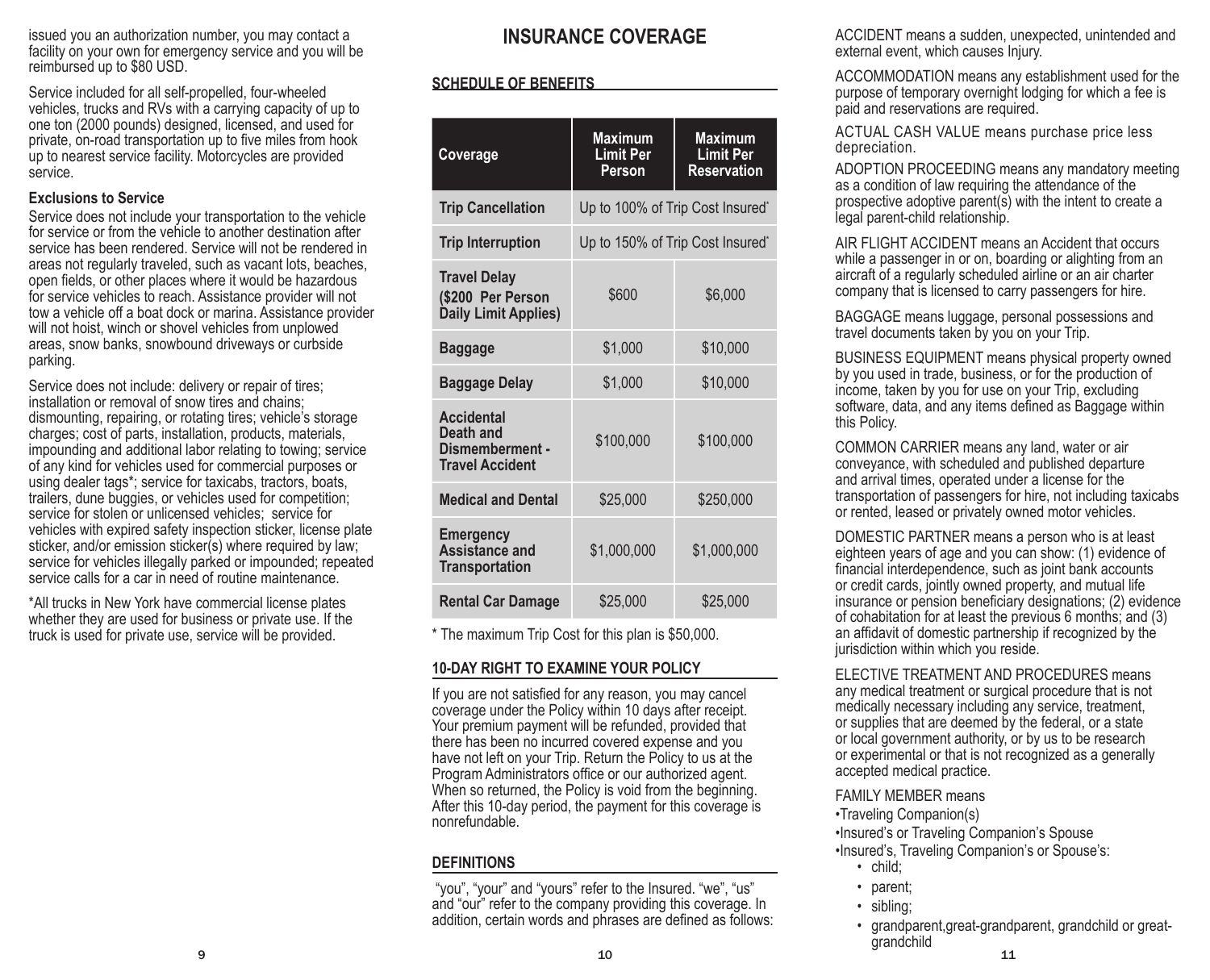issued you an authorization number, you may contact a facility on your own for emergency service and you will be reimbursed up to \$80 USD.

Service included for all self-propelled, four-wheeled vehicles, trucks and RVs with a carrying capacity of up to one ton (2000 pounds) designed, licensed, and used for private, on-road transportation up to five miles from hook up to nearest service facility. Motorcycles are provided service.

#### **Exclusions to Service**

Service does not include your transportation to the vehicle for service or from the vehicle to another destination after service has been rendered. Service will not be rendered in areas not regularly traveled, such as vacant lots, beaches, open fields, or other places where it would be hazardous for service vehicles to reach. Assistance provider will not tow a vehicle off a boat dock or marina. Assistance provider will not hoist, winch or shovel vehicles from unplowed areas, snow banks, snowbound driveways or curbside parking.

Service does not include: delivery or repair of tires; installation or removal of snow tires and chains; dismounting, repairing, or rotating tires; vehicle's storage charges; cost of parts, installation, products, materials, impounding and additional labor relating to towing; service of any kind for vehicles used for commercial purposes or using dealer tags\*; service for taxicabs, tractors, boats, trailers, dune buggies, or vehicles used for competition; service for stolen or unlicensed vehicles; service for vehicles with expired safety inspection sticker, license plate sticker, and/or emission sticker(s) where required by law; service for vehicles illegally parked or impounded; repeated service calls for a car in need of routine maintenance.

\*All trucks in New York have commercial license plates whether they are used for business or private use. If the truck is used for private use, service will be provided.

## **INSURANCE COVERAGE**

## **SCHEDULE OF BENEFITS**

| Coverage                                                                    | <b>Maximum</b><br><b>Limit Per</b><br>Person | <b>Maximum</b><br><b>Limit Per</b><br><b>Reservation</b> |
|-----------------------------------------------------------------------------|----------------------------------------------|----------------------------------------------------------|
| <b>Trip Cancellation</b>                                                    | Up to 100% of Trip Cost Insured*             |                                                          |
| <b>Trip Interruption</b>                                                    | Up to 150% of Trip Cost Insured*             |                                                          |
| <b>Travel Delay</b><br>(\$200 Per Person<br>Daily Limit Applies)            | \$600                                        | \$6,000                                                  |
| <b>Baggage</b>                                                              | \$1,000                                      | \$10,000                                                 |
| <b>Baggage Delay</b>                                                        | \$1,000                                      | \$10,000                                                 |
| <b>Accidental</b><br>Death and<br>Dismemberment -<br><b>Travel Accident</b> | \$100,000                                    | \$100,000                                                |
| <b>Medical and Dental</b>                                                   | \$25,000                                     | \$250,000                                                |
| <b>Emergency</b><br><b>Assistance and</b><br><b>Transportation</b>          | \$1,000,000                                  | \$1,000,000                                              |
| <b>Rental Car Damage</b>                                                    | \$25,000                                     | \$25,000                                                 |

\* The maximum Trip Cost for this plan is \$50,000.

### **10-DAY RIGHT TO EXAMINE YOUR POLICY**

If you are not satisfied for any reason, you may cancel coverage under the Policy within 10 days after receipt. Your premium payment will be refunded, provided that there has been no incurred covered expense and you have not left on your Trip. Return the Policy to us at the Program Administrators office or our authorized agent. When so returned, the Policy is void from the beginning. After this 10-day period, the payment for this coverage is nonrefundable.

## **DEFINITIONS**

 "you", "your" and "yours" refer to the Insured. "we", "us" and "our" refer to the company providing this coverage. In addition, certain words and phrases are defined as follows: ACCIDENT means a sudden, unexpected, unintended and external event, which causes Injury.

ACCOMMODATION means any establishment used for the purpose of temporary overnight lodging for which a fee is paid and reservations are required.

ACTUAL CASH VALUE means purchase price less depreciation.

ADOPTION PROCEEDING means any mandatory meeting as a condition of law requiring the attendance of the prospective adoptive parent(s) with the intent to create a legal parent-child relationship.

AIR FLIGHT ACCIDENT means an Accident that occurs while a passenger in or on, boarding or alighting from an aircraft of a regularly scheduled airline or an air charter company that is licensed to carry passengers for hire.

BAGGAGE means luggage, personal possessions and travel documents taken by you on your Trip.

BUSINESS EQUIPMENT means physical property owned by you used in trade, business, or for the production of income, taken by you for use on your Trip, excluding software, data, and any items defined as Baggage within this Policy.

COMMON CARRIER means any land, water or air conveyance, with scheduled and published departure and arrival times, operated under a license for the transportation of passengers for hire, not including taxicabs or rented, leased or privately owned motor vehicles.

DOMESTIC PARTNER means a person who is at least eighteen years of age and you can show: (1) evidence of financial interdependence, such as joint bank accounts or credit cards, jointly owned property, and mutual life insurance or pension beneficiary designations; (2) evidence of cohabitation for at least the previous 6 months; and (3) an affidavit of domestic partnership if recognized by the jurisdiction within which you reside.

ELECTIVE TREATMENT AND PROCEDURES means any medical treatment or surgical procedure that is not medically necessary including any service, treatment, or supplies that are deemed by the federal, or a state or local government authority, or by us to be research or experimental or that is not recognized as a generally accepted medical practice.

FAMILY MEMBER means

•Traveling Companion(s)

•Insured's or Traveling Companion's Spouse

•Insured's, Traveling Companion's or Spouse's: • child;

- 
- parent;
- sibling;
- $9$  11 • grandparent,great-grandparent, grandchild or greatgrandchild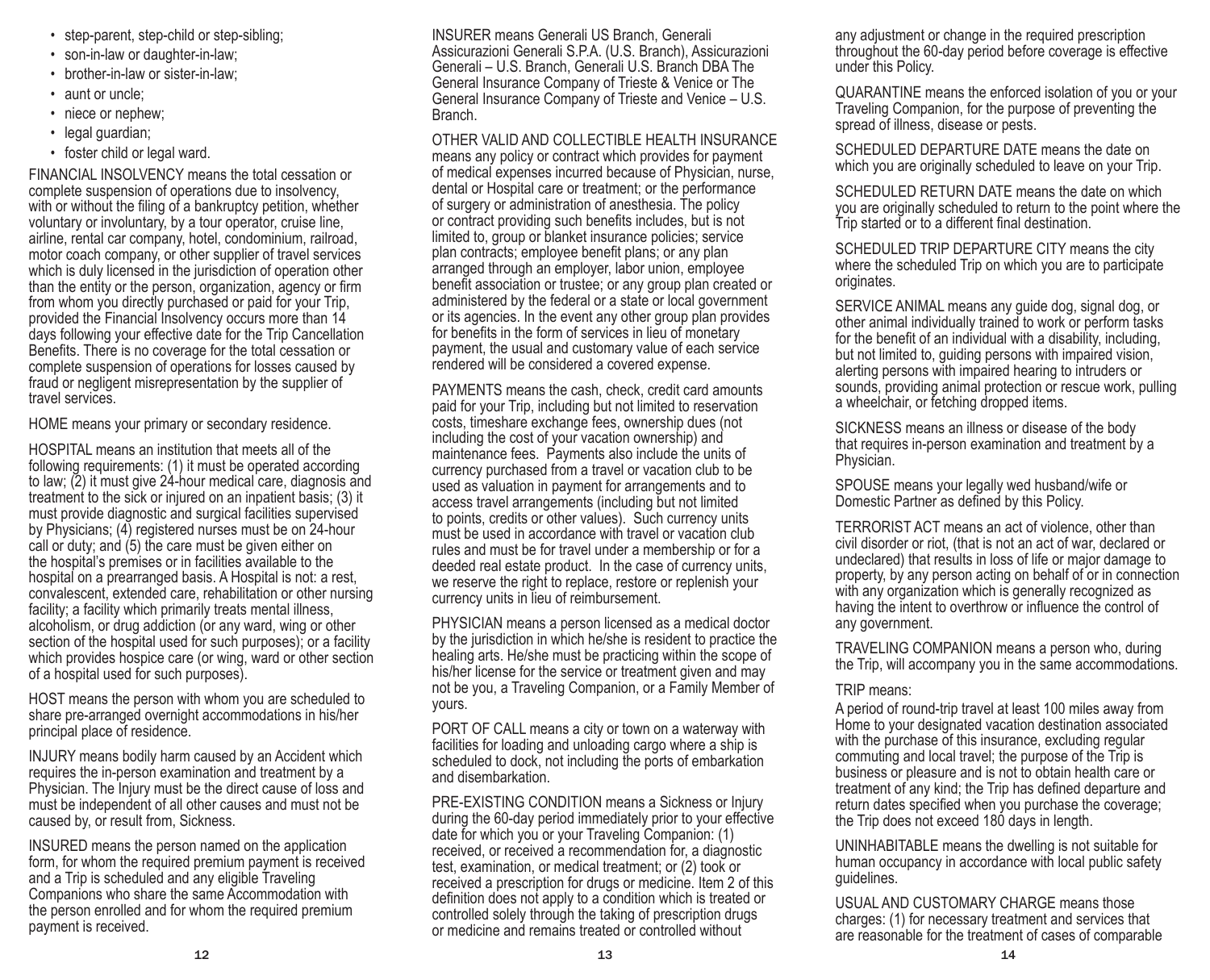- step-parent, step-child or step-sibling;
- son-in-law or daughter-in-law;
- brother-in-law or sister-in-law;
- aunt or uncle:
- niece or nephew:
- legal guardian;
- foster child or legal ward.

FINANCIAL INSOLVENCY means the total cessation or complete suspension of operations due to insolvency, with or without the filing of a bankruptcy petition, whether voluntary or involuntary, by a tour operator, cruise line, airline, rental car company, hotel, condominium, railroad, motor coach company, or other supplier of travel services which is duly licensed in the jurisdiction of operation other than the entity or the person, organization, agency or firm from whom you directly purchased or paid for your Trip, provided the Financial Insolvency occurs more than 14 days following your effective date for the Trip Cancellation Benefits. There is no coverage for the total cessation or complete suspension of operations for losses caused by fraud or negligent misrepresentation by the supplier of travel services.

HOME means your primary or secondary residence.

HOSPITAL means an institution that meets all of the following requirements: (1) it must be operated according to law; (2) it must give 24-hour medical care, diagnosis and treatment to the sick or injured on an inpatient basis; (3) it must provide diagnostic and surgical facilities supervised by Physicians; (4) registered nurses must be on 24-hour call or duty; and (5) the care must be given either on the hospital's premises or in facilities available to the hospital on a prearranged basis. A Hospital is not: a rest, convalescent, extended care, rehabilitation or other nursing facility; a facility which primarily treats mental illness, alcoholism, or drug addiction (or any ward, wing or other section of the hospital used for such purposes); or a facility which provides hospice care (or wing, ward or other section of a hospital used for such purposes).

HOST means the person with whom you are scheduled to share pre-arranged overnight accommodations in his/her principal place of residence.

INJURY means bodily harm caused by an Accident which requires the in-person examination and treatment by a Physician. The Injury must be the direct cause of loss and must be independent of all other causes and must not be caused by, or result from, Sickness.

INSURED means the person named on the application form, for whom the required premium payment is received and a Trip is scheduled and any eligible Traveling Companions who share the same Accommodation with the person enrolled and for whom the required premium payment is received.

INSURER means Generali US Branch, Generali Assicurazioni Generali S.P.A. (U.S. Branch), Assicurazioni Generali – U.S. Branch, Generali U.S. Branch DBA The General Insurance Company of Trieste & Venice or The General Insurance Company of Trieste and Venice – U.S. Branch.

OTHER VALID AND COLLECTIBLE HEALTH INSURANCE means any policy or contract which provides for payment of medical expenses incurred because of Physician, nurse, dental or Hospital care or treatment; or the performance of surgery or administration of anesthesia. The policy or contract providing such benefits includes, but is not limited to, group or blanket insurance policies; service plan contracts; employee benefit plans; or any plan arranged through an employer, labor union, employee benefit association or trustee; or any group plan created or administered by the federal or a state or local government or its agencies. In the event any other group plan provides for benefits in the form of services in lieu of monetary payment, the usual and customary value of each service rendered will be considered a covered expense.

PAYMENTS means the cash, check, credit card amounts paid for your Trip, including but not limited to reservation costs, timeshare exchange fees, ownership dues (not including the cost of your vacation ownership) and maintenance fees. Payments also include the units of currency purchased from a travel or vacation club to be used as valuation in payment for arrangements and to access travel arrangements (including but not limited to points, credits or other values). Such currency units must be used in accordance with travel or vacation club rules and must be for travel under a membership or for a deeded real estate product. In the case of currency units, we reserve the right to replace, restore or replenish your currency units in lieu of reimbursement.

PHYSICIAN means a person licensed as a medical doctor by the jurisdiction in which he/she is resident to practice the healing arts. He/she must be practicing within the scope of his/her license for the service or treatment given and may not be you, a Traveling Companion, or a Family Member of yours.

PORT OF CALL means a city or town on a waterway with facilities for loading and unloading cargo where a ship is scheduled to dock, not including the ports of embarkation and disembarkation.

PRE-EXISTING CONDITION means a Sickness or Injury during the 60-day period immediately prior to your effective date for which you or your Traveling Companion: (1) received, or received a recommendation for, a diagnostic test, examination, or medical treatment; or (2) took or received a prescription for drugs or medicine. Item 2 of this definition does not apply to a condition which is treated or controlled solely through the taking of prescription drugs or medicine and remains treated or controlled without

any adjustment or change in the required prescription throughout the 60-day period before coverage is effective under this Policy.

QUARANTINE means the enforced isolation of you or your Traveling Companion, for the purpose of preventing the spread of illness, disease or pests.

SCHEDULED DEPARTURE DATE means the date on which you are originally scheduled to leave on your Trip.

SCHEDULED RETURN DATE means the date on which you are originally scheduled to return to the point where the Trip started or to a different final destination.

SCHEDULED TRIP DEPARTURE CITY means the city where the scheduled Trip on which you are to participate originates.

SERVICE ANIMAL means any guide dog, signal dog, or other animal individually trained to work or perform tasks for the benefit of an individual with a disability, including, but not limited to, guiding persons with impaired vision, alerting persons with impaired hearing to intruders or sounds, providing animal protection or rescue work, pulling a wheelchair, or fetching dropped items.

SICKNESS means an illness or disease of the body that requires in-person examination and treatment by a Physician.

SPOUSE means your legally wed husband/wife or Domestic Partner as defined by this Policy.

TERRORIST ACT means an act of violence, other than civil disorder or riot, (that is not an act of war, declared or undeclared) that results in loss of life or major damage to property, by any person acting on behalf of or in connection with any organization which is generally recognized as having the intent to overthrow or influence the control of any government.

TRAVELING COMPANION means a person who, during the Trip, will accompany you in the same accommodations.

#### TRIP means:

A period of round-trip travel at least 100 miles away from Home to your designated vacation destination associated with the purchase of this insurance, excluding regular commuting and local travel; the purpose of the Trip is business or pleasure and is not to obtain health care or treatment of any kind; the Trip has defined departure and return dates specified when you purchase the coverage; the Trip does not exceed 180 days in length.

UNINHABITABLE means the dwelling is not suitable for human occupancy in accordance with local public safety guidelines.

USUAL AND CUSTOMARY CHARGE means those charges: (1) for necessary treatment and services that are reasonable for the treatment of cases of comparable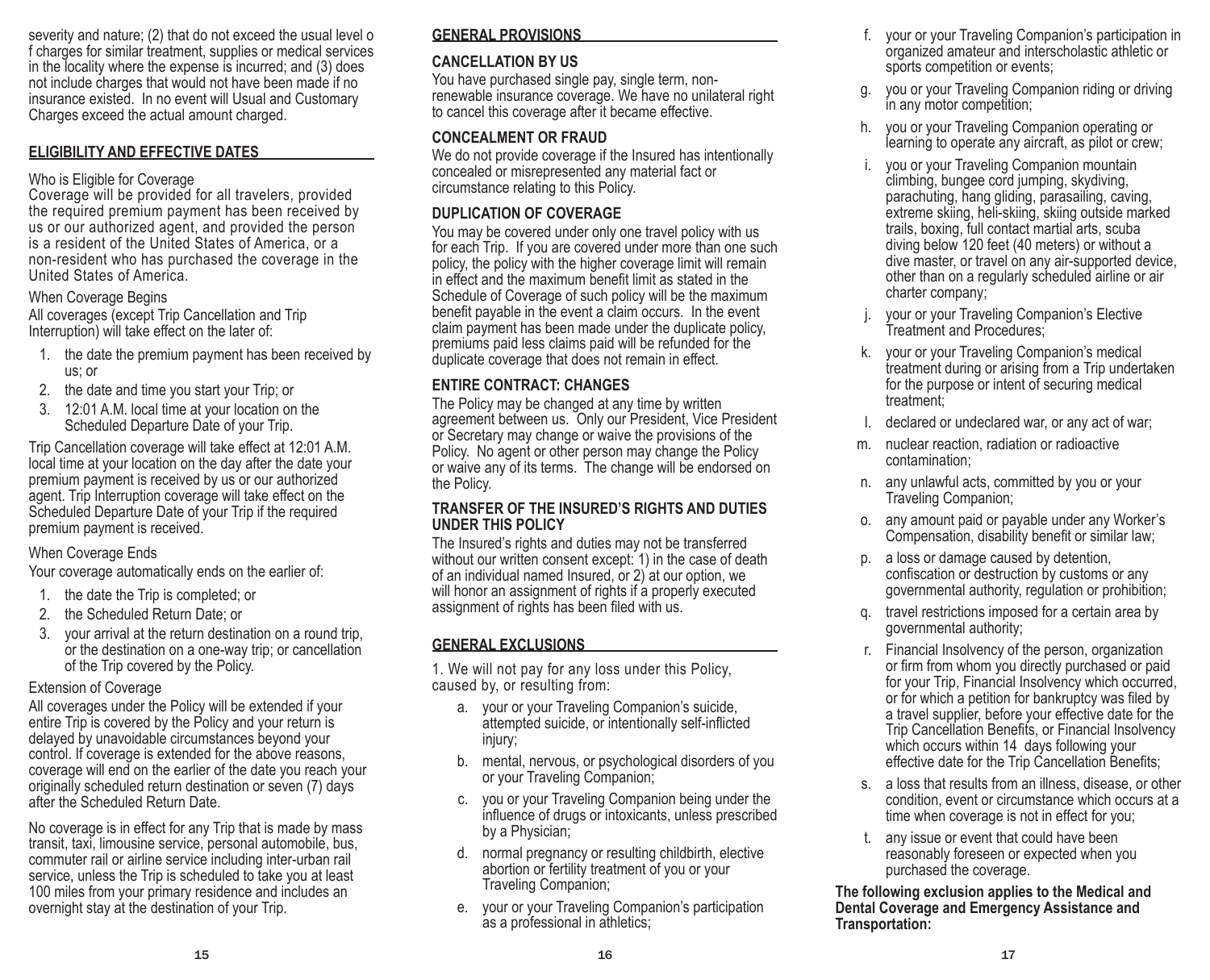severity and nature; (2) that do not exceed the usual level o f charges for similar treatment, supplies or medical services in the locality where the expense is incurred; and (3) does not include charges that would not have been made if no insurance existed. In no event will Usual and Customary Charges exceed the actual amount charged.

#### **ELIGIBILITY AND EFFECTIVE DATES**

#### Who is Eligible for Coverage

Coverage will be provided for all travelers, provided the required premium payment has been received by us or our authorized agent, and provided the person is a resident of the United States of America, or a non-resident who has purchased the coverage in the United States of America.

#### When Coverage Begins

All coverages (except Trip Cancellation and Trip Interruption) will take effect on the later of:

- 1. the date the premium payment has been received by us; or
- 2. the date and time you start your Trip; or
- 3. 12:01 A.M. local time at your location on the Scheduled Departure Date of your Trip.

Trip Cancellation coverage will take effect at 12:01 A.M. local time at your location on the day after the date your premium payment is received by us or our authorized agent. Trip Interruption coverage will take effect on the Scheduled Departure Date of your Trip if the required premium payment is received.

### When Coverage Ends

Your coverage automatically ends on the earlier of:

- 1. the date the Trip is completed; or
- 2. the Scheduled Return Date; or
- 3. your arrival at the return destination on a round trip, or the destination on a one-way trip; or cancellation of the Trip covered by the Policy.

### Extension of Coverage

All coverages under the Policy will be extended if your entire Trip is covered by the Policy and your return is delayed by unavoidable circumstances beyond your control. If coverage is extended for the above reasons, coverage will end on the earlier of the date you reach your originally scheduled return destination or seven (7) days after the Scheduled Return Date.

No coverage is in effect for any Trip that is made by mass transit, taxi, limousine service, personal automobile, bus, commuter rail or airline service including inter-urban rail service, unless the Trip is scheduled to take you at least 100 miles from your primary residence and includes an overnight stay at the destination of your Trip.

## **GENERAL PROVISIONS**

## **CANCELLATION BY US**

You have purchased single pay, single term, nonrenewable insurance coverage. We have no unilateral right to cancel this coverage after it became effective.

## **CONCEALMENT OR FRAUD**

We do not provide coverage if the Insured has intentionally concealed or misrepresented any material fact or circumstance relating to this Policy.

## **DUPLICATION OF COVERAGE**

You may be covered under only one travel policy with us for each Trip. If you are covered under more than one such policy, the policy with the higher coverage limit will remain in effect and the maximum benefit limit as stated in the Schedule of Coverage of such policy will be the maximum benefit payable in the event a claim occurs. In the event claim payment has been made under the duplicate policy, premiums paid less claims paid will be refunded for the duplicate coverage that does not remain in effect.

## **ENTIRE CONTRACT: CHANGES**

The Policy may be changed at any time by written agreement between us. Only our President, Vice President or Secretary may change or waive the provisions of the Policy. No agent or other person may change the Policy or waive any of its terms. The change will be endorsed on the Policy.

#### **TRANSFER OF THE INSURED'S RIGHTS AND DUTIES UNDER THIS POLICY**

The Insured's rights and duties may not be transferred without our written consent except: 1) in the case of death of an individual named Insured, or 2) at our option, we will honor an assignment of rights if a properly executed assignment of rights has been filed with us.

## **GENERAL EXCLUSIONS**

1. We will not pay for any loss under this Policy, caused by, or resulting from:

- a. your or your Traveling Companion's suicide, attempted suicide, or intentionally self-inflicted injury;
- b. mental, nervous, or psychological disorders of you or your Traveling Companion;
- c. you or your Traveling Companion being under the influence of drugs or intoxicants, unless prescribed by a Physician;
- d. normal pregnancy or resulting childbirth, elective abortion or fertility treatment of you or your Traveling Companion;
- e. your or your Traveling Companion's participation as a professional in athletics;
- f. your or your Traveling Companion's participation in organized amateur and interscholastic athletic or sports competition or events;
- you or your Traveling Companion riding or driving in any motor competition;
- h. you or your Traveling Companion operating or learning to operate any aircraft, as pilot or crew;
- i. you or your Traveling Companion mountain climbing, bungee cord jumping, skydiving, parachuting, hang gliding, parasailing, caving, extreme skiing, heli-skiing, skiing outside marked trails, boxing, full contact martial arts, scuba diving below 120 feet (40 meters) or without a dive master, or travel on any air-supported device, other than on a regularly scheduled airline or air charter company;
- your or your Traveling Companion's Elective Treatment and Procedures;
- k. your or your Traveling Companion's medical treatment during or arising from a Trip undertaken for the purpose or intent of securing medical treatment;
- declared or undeclared war, or any act of war;
- m. nuclear reaction, radiation or radioactive contamination;
- n. any unlawful acts, committed by you or your Traveling Companion;
- o. any amount paid or payable under any Worker's Compensation, disability benefit or similar law;
- p. a loss or damage caused by detention, confiscation or destruction by customs or any governmental authority, regulation or prohibition;
- q. travel restrictions imposed for a certain area by governmental authority;
- r. Financial Insolvency of the person, organization or firm from whom you directly purchased or paid for your Trip, Financial Insolvency which occurred, or for which a petition for bankruptcy was filed by a travel supplier, before your effective date for the Trip Cancellation Benefits, or Financial Insolvency which occurs within 14 days following your effective date for the Trip Cancellation Benefits;
- s. a loss that results from an illness, disease, or other condition, event or circumstance which occurs at a time when coverage is not in effect for you;
- t. any issue or event that could have been reasonably foreseen or expected when you purchased the coverage.

**The following exclusion applies to the Medical and Dental Coverage and Emergency Assistance and Transportation:**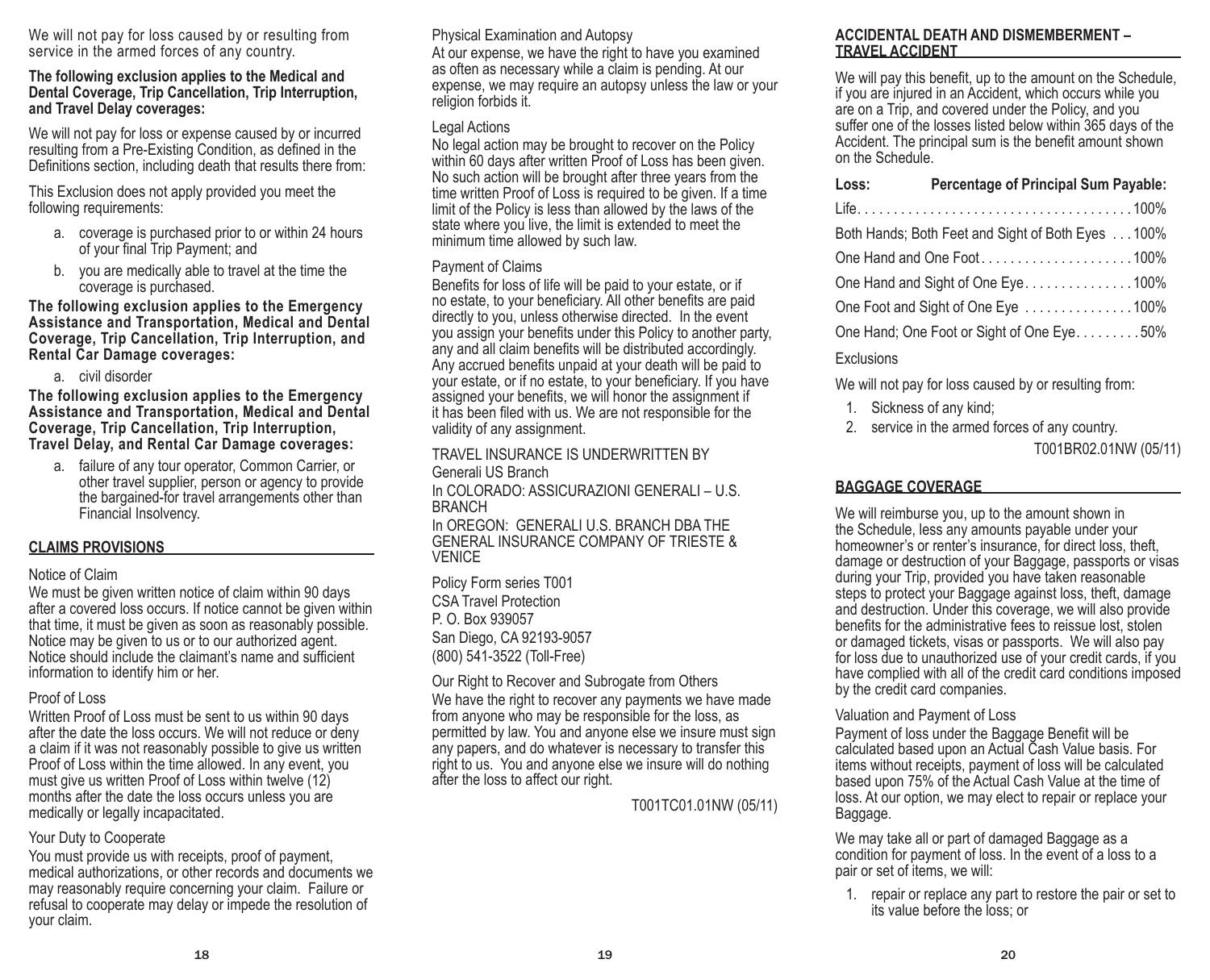We will not pay for loss caused by or resulting from service in the armed forces of any country.

#### **The following exclusion applies to the Medical and Dental Coverage, Trip Cancellation, Trip Interruption, and Travel Delay coverages:**

We will not pay for loss or expense caused by or incurred resulting from a Pre-Existing Condition, as defined in the Definitions section, including death that results there from:

This Exclusion does not apply provided you meet the following requirements:

- a. coverage is purchased prior to or within 24 hours of your final Trip Payment; and
- b. you are medically able to travel at the time the coverage is purchased.

**The following exclusion applies to the Emergency Assistance and Transportation, Medical and Dental Coverage, Trip Cancellation, Trip Interruption, and Rental Car Damage coverages:**

a. civil disorder

**The following exclusion applies to the Emergency Assistance and Transportation, Medical and Dental Coverage, Trip Cancellation, Trip Interruption, Travel Delay, and Rental Car Damage coverages:**

a. failure of any tour operator, Common Carrier, or other travel supplier, person or agency to provide the bargained-for travel arrangements other than Financial Insolvency.

#### **CLAIMS PROVISIONS**

#### Notice of Claim

We must be given written notice of claim within 90 days after a covered loss occurs. If notice cannot be given within that time, it must be given as soon as reasonably possible. Notice may be given to us or to our authorized agent. Notice should include the claimant's name and sufficient information to identify him or her.

#### Proof of Loss

Written Proof of Loss must be sent to us within 90 days after the date the loss occurs. We will not reduce or deny a claim if it was not reasonably possible to give us written Proof of Loss within the time allowed. In any event, you must give us written Proof of Loss within twelve (12) months after the date the loss occurs unless you are medically or legally incapacitated.

#### Your Duty to Cooperate

You must provide us with receipts, proof of payment, medical authorizations, or other records and documents we may reasonably require concerning your claim. Failure or refusal to cooperate may delay or impede the resolution of your claim.

Physical Examination and Autopsy

At our expense, we have the right to have you examined as often as necessary while a claim is pending. At our expense, we may require an autopsy unless the law or your religion forbids it.

### Legal Actions

No legal action may be brought to recover on the Policy within 60 days after written Proof of Loss has been given. No such action will be brought after three years from the time written Proof of Loss is required to be given. If a time limit of the Policy is less than allowed by the laws of the state where you live, the limit is extended to meet the minimum time allowed by such law.

### Payment of Claims

Benefits for loss of life will be paid to your estate, or if no estate, to your beneficiary. All other benefits are paid directly to you, unless otherwise directed. In the event you assign your benefits under this Policy to another party, any and all claim benefits will be distributed accordingly. Any accrued benefits unpaid at your death will be paid to your estate, or if no estate, to your beneficiary. If you have assigned your benefits, we will honor the assignment if it has been filed with us. We are not responsible for the validity of any assignment.

TRAVEL INSURANCE IS UNDERWRITTEN BY Generali US Branch

In COLORADO: ASSICURAZIONI GENERALI – U.S. BRANCH

In OREGON: GENERALI U.S. BRANCH DBA THE GENERAL INSURANCE COMPANY OF TRIESTE & **VENICE** 

Policy Form series T001 CSA Travel Protection P. O. Box 939057 San Diego, CA 92193-9057 (800) 541-3522 (Toll-Free)

Our Right to Recover and Subrogate from Others We have the right to recover any payments we have made from anyone who may be responsible for the loss, as permitted by law. You and anyone else we insure must sign any papers, and do whatever is necessary to transfer this right to us. You and anyone else we insure will do nothing after the loss to affect our right.

T001TC01.01NW (05/11)

#### **ACCIDENTAL DEATH AND DISMEMBERMENT – TRAVEL ACCIDENT**

We will pay this benefit, up to the amount on the Schedule, if you are injured in an Accident, which occurs while you are on a Trip, and covered under the Policy, and you suffer one of the losses listed below within 365 days of the Accident. The principal sum is the benefit amount shown on the Schedule.

| Loss:                                             | <b>Percentage of Principal Sum Payable:</b> |  |
|---------------------------------------------------|---------------------------------------------|--|
|                                                   |                                             |  |
| Both Hands; Both Feet and Sight of Both Eyes 100% |                                             |  |
| One Hand and One Foot100%                         |                                             |  |
| One Hand and Sight of One Eye100%                 |                                             |  |
| One Foot and Sight of One Eye 100%                |                                             |  |
| One Hand; One Foot or Sight of One Eye50%         |                                             |  |
|                                                   |                                             |  |

## Exclusions

We will not pay for loss caused by or resulting from:

- 1. Sickness of any kind;
- 2. service in the armed forces of any country.

T001BR02.01NW (05/11)

## **BAGGAGE COVERAGE**

We will reimburse you, up to the amount shown in the Schedule, less any amounts payable under your homeowner's or renter's insurance, for direct loss, theft, damage or destruction of your Baggage, passports or visas during your Trip, provided you have taken reasonable steps to protect your Baggage against loss, theft, damage and destruction. Under this coverage, we will also provide benefits for the administrative fees to reissue lost, stolen or damaged tickets, visas or passports. We will also pay for loss due to unauthorized use of your credit cards, if you have complied with all of the credit card conditions imposed by the credit card companies.

#### Valuation and Payment of Loss

Payment of loss under the Baggage Benefit will be calculated based upon an Actual Cash Value basis. For items without receipts, payment of loss will be calculated based upon 75% of the Actual Cash Value at the time of loss. At our option, we may elect to repair or replace your Baggage.

We may take all or part of damaged Baggage as a condition for payment of loss. In the event of a loss to a pair or set of items, we will:

1. repair or replace any part to restore the pair or set to its value before the loss; or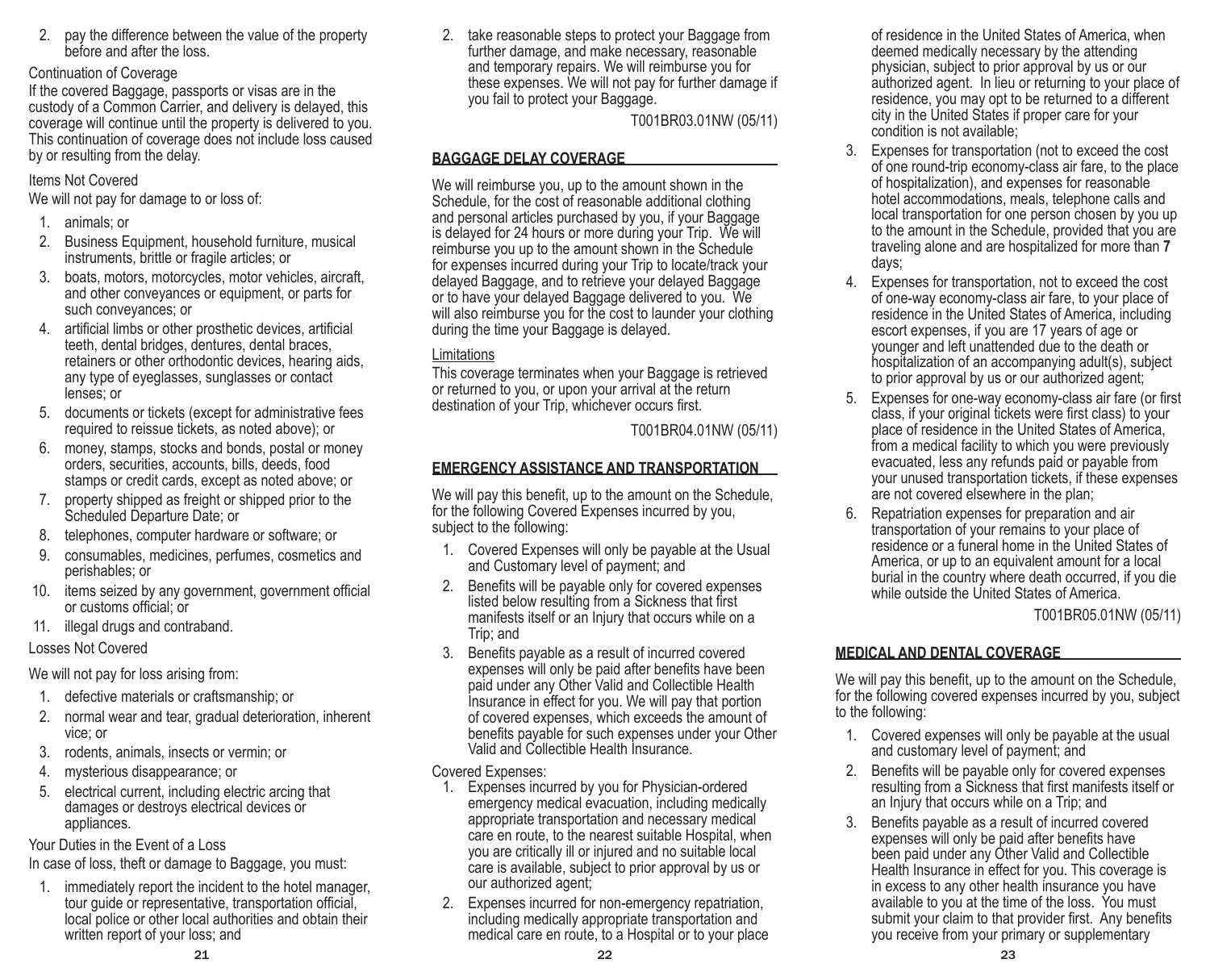2. pay the difference between the value of the property before and after the loss.

#### Continuation of Coverage

If the covered Baggage, passports or visas are in the custody of a Common Carrier, and delivery is delayed, this coverage will continue until the property is delivered to you. This continuation of coverage does not include loss caused by or resulting from the delay.

## Items Not Covered

We will not pay for damage to or loss of:

- 1. animals; or
- 2. Business Equipment, household furniture, musical instruments, brittle or fragile articles; or
- 3. boats, motors, motorcycles, motor vehicles, aircraft, and other conveyances or equipment, or parts for such conveyances; or
- 4. artificial limbs or other prosthetic devices, artificial teeth, dental bridges, dentures, dental braces, retainers or other orthodontic devices, hearing aids, any type of eyeglasses, sunglasses or contact lenses; or
- 5. documents or tickets (except for administrative fees required to reissue tickets, as noted above); or
- 6. money, stamps, stocks and bonds, postal or money orders, securities, accounts, bills, deeds, food stamps or credit cards, except as noted above; or
- 7. property shipped as freight or shipped prior to the Scheduled Departure Date; or
- 8. telephones, computer hardware or software; or
- 9. consumables, medicines, perfumes, cosmetics and perishables; or
- 10. items seized by any government, government official or customs official; or
- 11. illegal drugs and contraband.

## Losses Not Covered

We will not pay for loss arising from:

- 1. defective materials or craftsmanship; or
- 2. normal wear and tear, gradual deterioration, inherent vice; or
- 3. rodents, animals, insects or vermin; or
- 4. mysterious disappearance; or
- 5. electrical current, including electric arcing that damages or destroys electrical devices or appliances.

Your Duties in the Event of a Loss

In case of loss, theft or damage to Baggage, you must:

1. immediately report the incident to the hotel manager, tour guide or representative, transportation official, local police or other local authorities and obtain their written report of your loss; and

2. take reasonable steps to protect your Baggage from further damage, and make necessary, reasonable and temporary repairs. We will reimburse you for these expenses. We will not pay for further damage if you fail to protect your Baggage.

T001BR03.01NW (05/11)

## **BAGGAGE DELAY COVERAGE**

We will reimburse you, up to the amount shown in the Schedule, for the cost of reasonable additional clothing and personal articles purchased by you, if your Baggage is delayed for 24 hours or more during your Trip. We will reimburse you up to the amount shown in the Schedule for expenses incurred during your Trip to locate/track your delayed Baggage, and to retrieve your delayed Baggage or to have your delayed Baggage delivered to you. We will also reimburse you for the cost to launder your clothing during the time your Baggage is delayed.

## **Limitations**

This coverage terminates when your Baggage is retrieved or returned to you, or upon your arrival at the return destination of your Trip, whichever occurs first.

T001BR04.01NW (05/11)

## **EMERGENCY ASSISTANCE AND TRANSPORTATION**

We will pay this benefit, up to the amount on the Schedule, for the following Covered Expenses incurred by you, subject to the following:

- 1. Covered Expenses will only be payable at the Usual and Customary level of payment; and
- 2. Benefits will be payable only for covered expenses listed below resulting from a Sickness that first manifests itself or an Injury that occurs while on a Trip; and
- 3. Benefits payable as a result of incurred covered expenses will only be paid after benefits have been paid under any Other Valid and Collectible Health Insurance in effect for you. We will pay that portion of covered expenses, which exceeds the amount of benefits payable for such expenses under your Other Valid and Collectible Health Insurance.

Covered Expenses:

- 1. Expenses incurred by you for Physician-ordered emergency medical evacuation, including medically appropriate transportation and necessary medical care en route, to the nearest suitable Hospital, when you are critically ill or injured and no suitable local care is available, subject to prior approval by us or our authorized agent;
- 2. Expenses incurred for non-emergency repatriation, including medically appropriate transportation and medical care en route, to a Hospital or to your place

of residence in the United States of America, when deemed medically necessary by the attending physician, subject to prior approval by us or our authorized agent. In lieu or returning to your place of residence, you may opt to be returned to a different city in the United States if proper care for your condition is not available;

- 3. Expenses for transportation (not to exceed the cost of one round-trip economy-class air fare, to the place of hospitalization), and expenses for reasonable hotel accommodations, meals, telephone calls and local transportation for one person chosen by you up to the amount in the Schedule, provided that you are traveling alone and are hospitalized for more than **7**  days;
- 4. Expenses for transportation, not to exceed the cost of one-way economy-class air fare, to your place of residence in the United States of America, including escort expenses, if you are 17 years of age or younger and left unattended due to the death or hospitalization of an accompanying adult(s), subject to prior approval by us or our authorized agent;
- 5. Expenses for one-way economy-class air fare (or first class, if your original tickets were first class) to your place of residence in the United States of America, from a medical facility to which you were previously evacuated, less any refunds paid or payable from your unused transportation tickets, if these expenses are not covered elsewhere in the plan;
- 6. Repatriation expenses for preparation and air transportation of your remains to your place of residence or a funeral home in the United States of America, or up to an equivalent amount for a local burial in the country where death occurred, if you die while outside the United States of America.

T001BR05.01NW (05/11)

## **MEDICAL AND DENTAL COVERAGE**

We will pay this benefit, up to the amount on the Schedule, for the following covered expenses incurred by you, subject to the following:

- 1. Covered expenses will only be payable at the usual and customary level of payment; and
- 2. Benefits will be payable only for covered expenses resulting from a Sickness that first manifests itself or an Injury that occurs while on a Trip; and
- Benefits payable as a result of incurred covered expenses will only be paid after benefits have been paid under any Other Valid and Collectible Health Insurance in effect for you. This coverage is in excess to any other health insurance you have available to you at the time of the loss. You must submit your claim to that provider first. Any benefits you receive from your primary or supplementary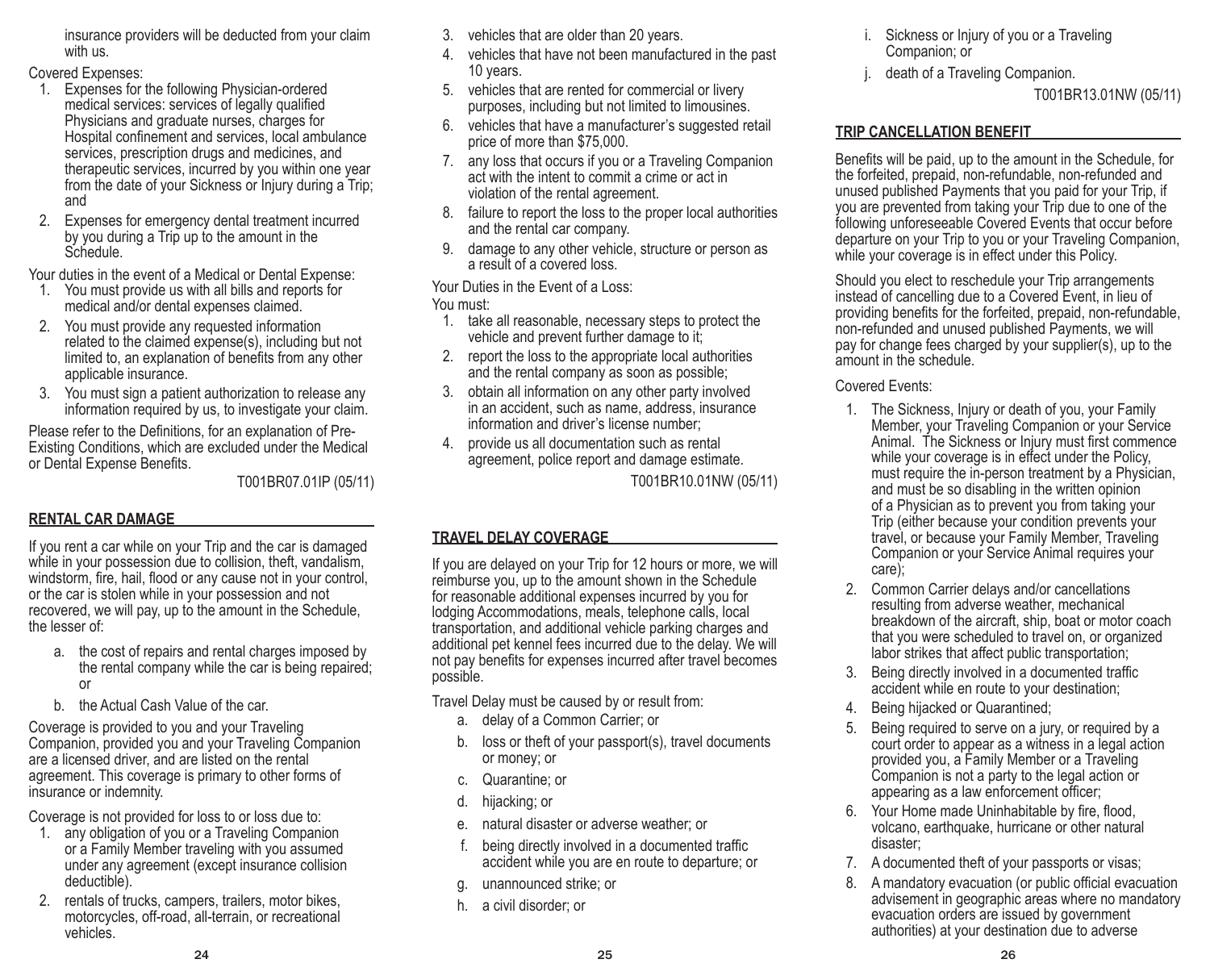insurance providers will be deducted from your claim with us.

Covered Expenses:

- 1. Expenses for the following Physician-ordered medical services: services of legally qualified Physicians and graduate nurses, charges for Hospital confinement and services, local ambulance services, prescription drugs and medicines, and therapeutic services, incurred by you within one year from the date of your Sickness or Injury during a Trip; and
- 2. Expenses for emergency dental treatment incurred by you during a Trip up to the amount in the Schedule.

Your duties in the event of a Medical or Dental Expense:

- 1. You must provide us with all bills and reports for medical and/or dental expenses claimed.
- 2. You must provide any requested information related to the claimed expense(s), including but not limited to, an explanation of benefits from any other applicable insurance.
- 3. You must sign a patient authorization to release any information required by us, to investigate your claim.

Please refer to the Definitions, for an explanation of Pre-Existing Conditions, which are excluded under the Medical or Dental Expense Benefits.

T001BR07.01IP (05/11)

## **RENTAL CAR DAMAGE**

If you rent a car while on your Trip and the car is damaged while in your possession due to collision, theft, vandalism, windstorm, fire, hail, flood or any cause not in your control, or the car is stolen while in your possession and not recovered, we will pay, up to the amount in the Schedule, the lesser of:

- a. the cost of repairs and rental charges imposed by the rental company while the car is being repaired; or
- b. the Actual Cash Value of the car.

Coverage is provided to you and your Traveling Companion, provided you and your Traveling Companion are a licensed driver, and are listed on the rental agreement. This coverage is primary to other forms of insurance or indemnity.

Coverage is not provided for loss to or loss due to:

- 1. any obligation of you or a Traveling Companion or a Family Member traveling with you assumed under any agreement (except insurance collision deductible).
- 2. rentals of trucks, campers, trailers, motor bikes, motorcycles, off-road, all-terrain, or recreational vehicles.
- 3. vehicles that are older than 20 years.
- 4. vehicles that have not been manufactured in the past 10 years.
- 5. vehicles that are rented for commercial or livery purposes, including but not limited to limousines.
- 6. vehicles that have a manufacturer's suggested retail price of more than \$75,000.
- 7. any loss that occurs if you or a Traveling Companion act with the intent to commit a crime or act in violation of the rental agreement.
- 8. failure to report the loss to the proper local authorities and the rental car company.
- 9. damage to any other vehicle, structure or person as a result of a covered loss.

## Your Duties in the Event of a Loss:

You must:

- 1. take all reasonable, necessary steps to protect the vehicle and prevent further damage to it;
- 2. report the loss to the appropriate local authorities and the rental company as soon as possible;
- obtain all information on any other party involved in an accident, such as name, address, insurance information and driver's license number;
- 4. provide us all documentation such as rental agreement, police report and damage estimate.

T001BR10.01NW (05/11)

## **TRAVEL DELAY COVERAGE**

If you are delayed on your Trip for 12 hours or more, we will reimburse you, up to the amount shown in the Schedule for reasonable additional expenses incurred by you for lodging Accommodations, meals, telephone calls, local transportation, and additional vehicle parking charges and additional pet kennel fees incurred due to the delay. We will not pay benefits for expenses incurred after travel becomes possible.

Travel Delay must be caused by or result from:

- a. delay of a Common Carrier; or
- b. loss or theft of your passport(s), travel documents or money; or
- c. Quarantine; or
- d. hijacking; or
- e. natural disaster or adverse weather; or
- f. being directly involved in a documented traffic accident while you are en route to departure; or
- g. unannounced strike; or
- h. a civil disorder; or
- i. Sickness or Injury of you or a Traveling Companion; or
- death of a Traveling Companion.

T001BR13.01NW (05/11)

## **TRIP CANCELLATION BENEFIT**

Benefits will be paid, up to the amount in the Schedule, for the forfeited, prepaid, non-refundable, non-refunded and unused published Payments that you paid for your Trip, if you are prevented from taking your Trip due to one of the following unforeseeable Covered Events that occur before departure on your Trip to you or your Traveling Companion, while your coverage is in effect under this Policy.

Should you elect to reschedule your Trip arrangements instead of cancelling due to a Covered Event, in lieu of providing benefits for the forfeited, prepaid, non-refundable, non-refunded and unused published Payments, we will pay for change fees charged by your supplier(s), up to the amount in the schedule.

## Covered Events:

- 1. The Sickness, Injury or death of you, your Family Member, your Traveling Companion or your Service Animal. The Sickness or Injury must first commence while your coverage is in effect under the Policy, must require the in-person treatment by a Physician, and must be so disabling in the written opinion of a Physician as to prevent you from taking your Trip (either because your condition prevents your travel, or because your Family Member, Traveling Companion or your Service Animal requires your care);
- 2. Common Carrier delays and/or cancellations resulting from adverse weather, mechanical breakdown of the aircraft, ship, boat or motor coach that you were scheduled to travel on, or organized labor strikes that affect public transportation;
- 3. Being directly involved in a documented traffic accident while en route to your destination;
- 4. Being hijacked or Quarantined;
- 5. Being required to serve on a jury, or required by a court order to appear as a witness in a legal action provided you, a Family Member or a Traveling Companion is not a party to the legal action or appearing as a law enforcement officer;
- 6. Your Home made Uninhabitable by fire, flood, volcano, earthquake, hurricane or other natural disaster;
- 7. A documented theft of your passports or visas;
- 8. A mandatory evacuation (or public official evacuation advisement in geographic areas where no mandatory evacuation orders are issued by government authorities) at your destination due to adverse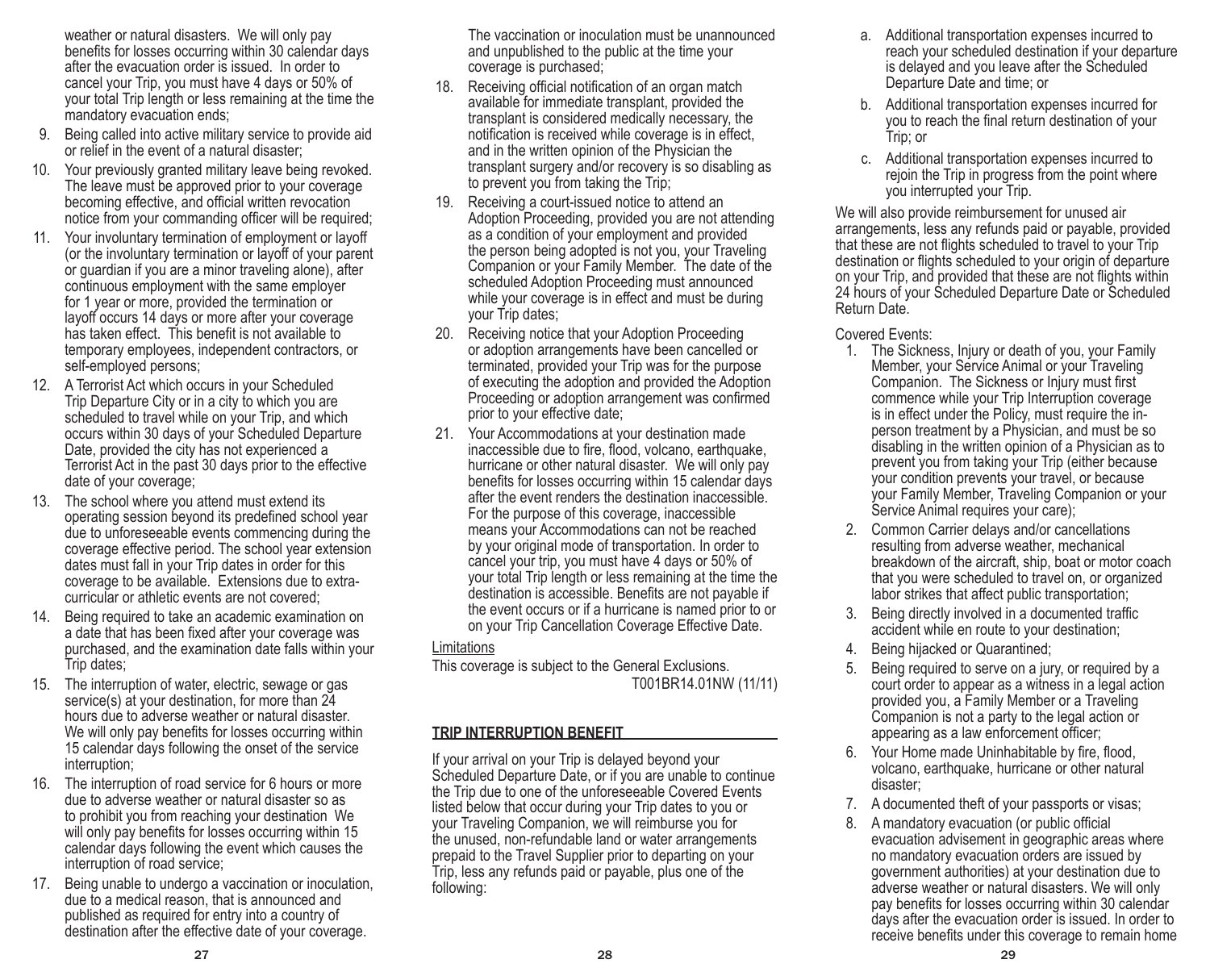weather or natural disasters. We will only pay benefits for losses occurring within 30 calendar days after the evacuation order is issued. In order to cancel your Trip, you must have 4 days or 50% of your total Trip length or less remaining at the time the mandatory evacuation ends;

- 9. Being called into active military service to provide aid or relief in the event of a natural disaster;
- Your previously granted military leave being revoked. The leave must be approved prior to your coverage becoming effective, and official written revocation notice from your commanding officer will be required;
- 11. Your involuntary termination of employment or layoff (or the involuntary termination or layoff of your parent or guardian if you are a minor traveling alone), after continuous employment with the same employer for 1 year or more, provided the termination or layoff occurs 14 days or more after your coverage has taken effect. This benefit is not available to temporary employees, independent contractors, or self-employed persons;
- 12. A Terrorist Act which occurs in your Scheduled Trip Departure City or in a city to which you are scheduled to travel while on your Trip, and which occurs within 30 days of your Scheduled Departure Date, provided the city has not experienced a Terrorist Act in the past 30 days prior to the effective date of your coverage;
- 13. The school where you attend must extend its operating session beyond its predefined school year due to unforeseeable events commencing during the coverage effective period. The school year extension dates must fall in your Trip dates in order for this coverage to be available. Extensions due to extracurricular or athletic events are not covered;
- 14. Being required to take an academic examination on a date that has been fixed after your coverage was purchased, and the examination date falls within your Trip dates;
- 15. The interruption of water, electric, sewage or gas service(s) at your destination, for more than 24 hours due to adverse weather or natural disaster. We will only pay benefits for losses occurring within 15 calendar days following the onset of the service interruption;
- 16. The interruption of road service for 6 hours or more due to adverse weather or natural disaster so as to prohibit you from reaching your destination We will only pay benefits for losses occurring within 15 calendar days following the event which causes the interruption of road service;
- 17. Being unable to undergo a vaccination or inoculation, due to a medical reason, that is announced and published as required for entry into a country of destination after the effective date of your coverage.

The vaccination or inoculation must be unannounced and unpublished to the public at the time your coverage is purchased;

- 18. Receiving official notification of an organ match available for immediate transplant, provided the transplant is considered medically necessary, the notification is received while coverage is in effect, and in the written opinion of the Physician the transplant surgery and/or recovery is so disabling as to prevent you from taking the Trip;
- 19. Receiving a court-issued notice to attend an Adoption Proceeding, provided you are not attending as a condition of your employment and provided the person being adopted is not you, your Traveling Companion or your Family Member. The date of the scheduled Adoption Proceeding must announced while your coverage is in effect and must be during your Trip dates;
- 20. Receiving notice that your Adoption Proceeding or adoption arrangements have been cancelled or terminated, provided your Trip was for the purpose of executing the adoption and provided the Adoption Proceeding or adoption arrangement was confirmed prior to your effective date;
- 21. Your Accommodations at your destination made inaccessible due to fire, flood, volcano, earthquake, hurricane or other natural disaster. We will only pay benefits for losses occurring within 15 calendar days after the event renders the destination inaccessible. For the purpose of this coverage, inaccessible means your Accommodations can not be reached by your original mode of transportation. In order to cancel your trip, you must have 4 days or 50% of your total Trip length or less remaining at the time the destination is accessible. Benefits are not payable if the event occurs or if a hurricane is named prior to or on your Trip Cancellation Coverage Effective Date.

### **Limitations**

This coverage is subject to the General Exclusions. T001BR14.01NW (11/11)

## **TRIP INTERRUPTION BENEFIT**

If your arrival on your Trip is delayed beyond your Scheduled Departure Date, or if you are unable to continue the Trip due to one of the unforeseeable Covered Events listed below that occur during your Trip dates to you or your Traveling Companion, we will reimburse you for the unused, non-refundable land or water arrangements prepaid to the Travel Supplier prior to departing on your Trip, less any refunds paid or payable, plus one of the following:

- a. Additional transportation expenses incurred to reach your scheduled destination if your departure is delayed and you leave after the Scheduled Departure Date and time; or
- b. Additional transportation expenses incurred for you to reach the final return destination of your Trip; or
- c. Additional transportation expenses incurred to rejoin the Trip in progress from the point where you interrupted your Trip.

We will also provide reimbursement for unused air arrangements, less any refunds paid or payable, provided that these are not flights scheduled to travel to your Trip destination or flights scheduled to your origin of departure on your Trip, and provided that these are not flights within 24 hours of your Scheduled Departure Date or Scheduled Return Date.

## Covered Events:

- 1. The Sickness, Injury or death of you, your Family Member, your Service Animal or your Traveling Companion. The Sickness or Injury must first commence while your Trip Interruption coverage is in effect under the Policy, must require the inperson treatment by a Physician, and must be so disabling in the written opinion of a Physician as to prevent you from taking your Trip (either because your condition prevents your travel, or because your Family Member, Traveling Companion or your Service Animal requires your care);
- 2. Common Carrier delays and/or cancellations resulting from adverse weather, mechanical breakdown of the aircraft, ship, boat or motor coach that you were scheduled to travel on, or organized labor strikes that affect public transportation;
- 3. Being directly involved in a documented traffic accident while en route to your destination;
- 4. Being hijacked or Quarantined;
- 5. Being required to serve on a jury, or required by a court order to appear as a witness in a legal action provided you, a Family Member or a Traveling Companion is not a party to the legal action or appearing as a law enforcement officer;
- 6. Your Home made Uninhabitable by fire, flood, volcano, earthquake, hurricane or other natural disaster;
- 7. A documented theft of your passports or visas;
- 8. A mandatory evacuation (or public official evacuation advisement in geographic areas where no mandatory evacuation orders are issued by government authorities) at your destination due to adverse weather or natural disasters. We will only pay benefits for losses occurring within 30 calendar days after the evacuation order is issued. In order to receive benefits under this coverage to remain home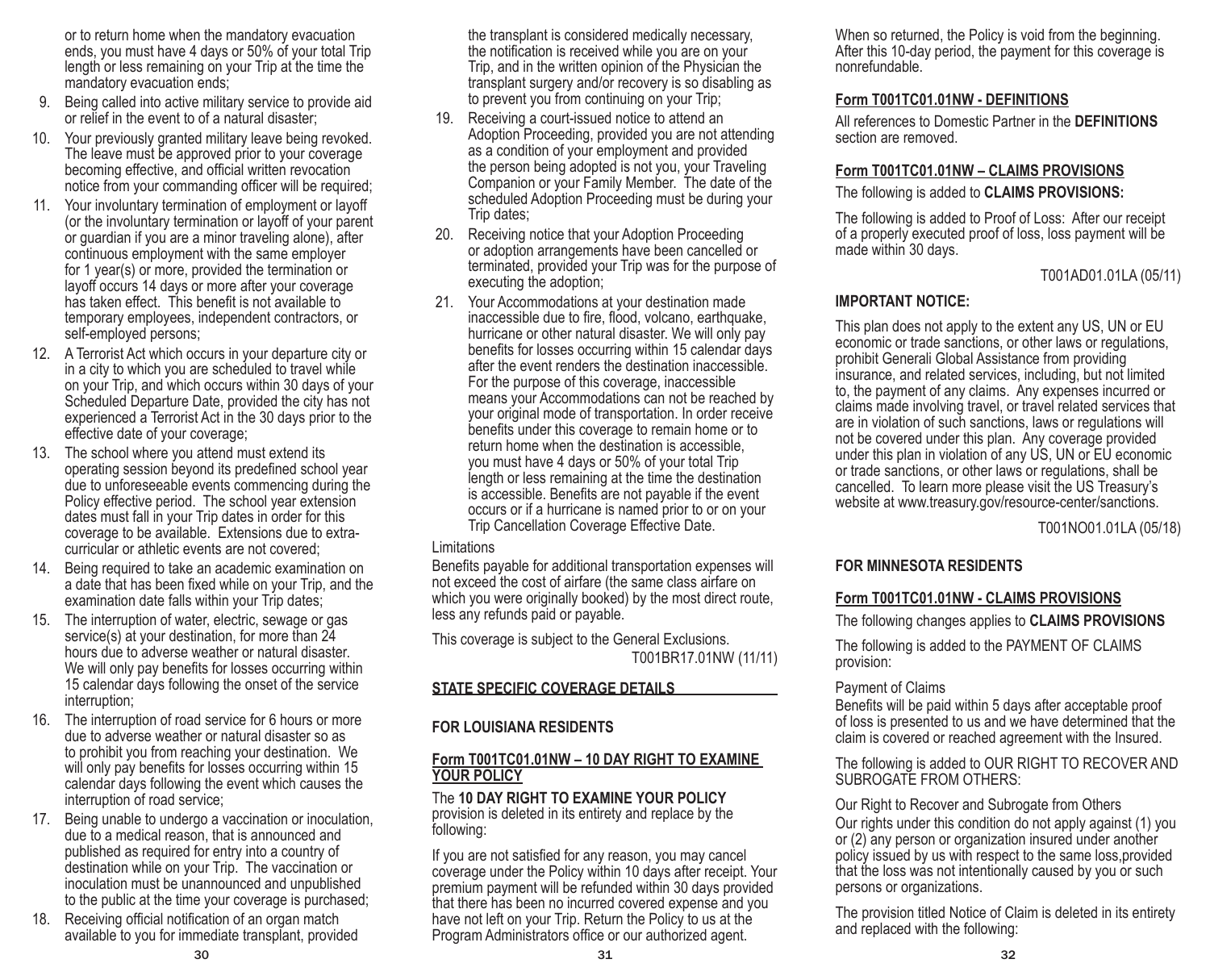or to return home when the mandatory evacuation ends, you must have 4 days or 50% of your total Trip length or less remaining on your Trip at the time the mandatory evacuation ends;

- 9. Being called into active military service to provide aid or relief in the event to of a natural disaster;
- 10. Your previously granted military leave being revoked. The leave must be approved prior to your coverage becoming effective, and official written revocation notice from your commanding officer will be required;
- 11. Your involuntary termination of employment or layoff (or the involuntary termination or layoff of your parent or guardian if you are a minor traveling alone), after continuous employment with the same employer for 1 year(s) or more, provided the termination or layoff occurs 14 days or more after your coverage has taken effect. This benefit is not available to temporary employees, independent contractors, or self-employed persons;
- 12. A Terrorist Act which occurs in your departure city or in a city to which you are scheduled to travel while on your Trip, and which occurs within 30 days of your Scheduled Departure Date, provided the city has not experienced a Terrorist Act in the 30 days prior to the effective date of your coverage;
- 13. The school where you attend must extend its operating session beyond its predefined school year due to unforeseeable events commencing during the Policy effective period. The school year extension dates must fall in your Trip dates in order for this coverage to be available. Extensions due to extracurricular or athletic events are not covered;
- 14. Being required to take an academic examination on a date that has been fixed while on your Trip, and the examination date falls within your Trip dates;
- 15. The interruption of water, electric, sewage or gas service(s) at your destination, for more than 24 hours due to adverse weather or natural disaster. We will only pay benefits for losses occurring within 15 calendar days following the onset of the service interruption;
- 16. The interruption of road service for 6 hours or more due to adverse weather or natural disaster so as to prohibit you from reaching your destination. We will only pay benefits for losses occurring within 15 calendar days following the event which causes the interruption of road service;
- 17. Being unable to undergo a vaccination or inoculation, due to a medical reason, that is announced and published as required for entry into a country of destination while on your Trip. The vaccination or inoculation must be unannounced and unpublished to the public at the time your coverage is purchased;
- 18. Receiving official notification of an organ match available to you for immediate transplant, provided

the transplant is considered medically necessary, the notification is received while you are on your Trip, and in the written opinion of the Physician the transplant surgery and/or recovery is so disabling as to prevent you from continuing on your Trip;

- 19. Receiving a court-issued notice to attend an Adoption Proceeding, provided you are not attending as a condition of your employment and provided the person being adopted is not you, your Traveling Companion or your Family Member. The date of the scheduled Adoption Proceeding must be during your Trip dates;
- 20. Receiving notice that your Adoption Proceeding or adoption arrangements have been cancelled or terminated, provided your Trip was for the purpose of executing the adoption;
- 21. Your Accommodations at your destination made inaccessible due to fire, flood, volcano, earthquake, hurricane or other natural disaster. We will only pay benefits for losses occurring within 15 calendar days after the event renders the destination inaccessible. For the purpose of this coverage, inaccessible means your Accommodations can not be reached by your original mode of transportation. In order receive benefits under this coverage to remain home or to return home when the destination is accessible, you must have 4 days or 50% of your total Trip length or less remaining at the time the destination is accessible. Benefits are not payable if the event occurs or if a hurricane is named prior to or on your Trip Cancellation Coverage Effective Date.

## **Limitations**

Benefits payable for additional transportation expenses will not exceed the cost of airfare (the same class airfare on which you were originally booked) by the most direct route, less any refunds paid or payable.

This coverage is subject to the General Exclusions. T001BR17.01NW (11/11)

## **STATE SPECIFIC COVERAGE DETAILS**

## **FOR LOUISIANA RESIDENTS**

## **Form T001TC01.01NW – 10 DAY RIGHT TO EXAMINE YOUR POLICY**

The **10 DAY RIGHT TO EXAMINE YOUR POLICY**  provision is deleted in its entirety and replace by the following:

If you are not satisfied for any reason, you may cancel coverage under the Policy within 10 days after receipt. Your premium payment will be refunded within 30 days provided that there has been no incurred covered expense and you have not left on your Trip. Return the Policy to us at the Program Administrators office or our authorized agent.

When so returned, the Policy is void from the beginning. After this 10-day period, the payment for this coverage is nonrefundable.

## **Form T001TC01.01NW - DEFINITIONS**

All references to Domestic Partner in the **DEFINITIONS** section are removed.

## **Form T001TC01.01NW – CLAIMS PROVISIONS**

The following is added to **CLAIMS PROVISIONS:**

The following is added to Proof of Loss: After our receipt of a properly executed proof of loss, loss payment will be made within 30 days.

T001AD01.01LA (05/11)

## **IMPORTANT NOTICE:**

This plan does not apply to the extent any US, UN or EU economic or trade sanctions, or other laws or regulations, prohibit Generali Global Assistance from providing insurance, and related services, including, but not limited to, the payment of any claims. Any expenses incurred or claims made involving travel, or travel related services that are in violation of such sanctions, laws or regulations will not be covered under this plan. Any coverage provided under this plan in violation of any US, UN or EU economic or trade sanctions, or other laws or regulations, shall be cancelled. To learn more please visit the US Treasury's website at www.treasury.gov/resource-center/sanctions.

T001NO01.01LA (05/18)

## **FOR MINNESOTA RESIDENTS**

## **Form T001TC01.01NW - CLAIMS PROVISIONS**

The following changes applies to **CLAIMS PROVISIONS**

The following is added to the PAYMENT OF CLAIMS provision:

## Payment of Claims

Benefits will be paid within 5 days after acceptable proof of loss is presented to us and we have determined that the claim is covered or reached agreement with the Insured.

The following is added to OUR RIGHT TO RECOVER AND SUBROGATE FROM OTHERS:

Our Right to Recover and Subrogate from Others Our rights under this condition do not apply against (1) you or (2) any person or organization insured under another policy issued by us with respect to the same loss,provided that the loss was not intentionally caused by you or such persons or organizations.

The provision titled Notice of Claim is deleted in its entirety and replaced with the following: